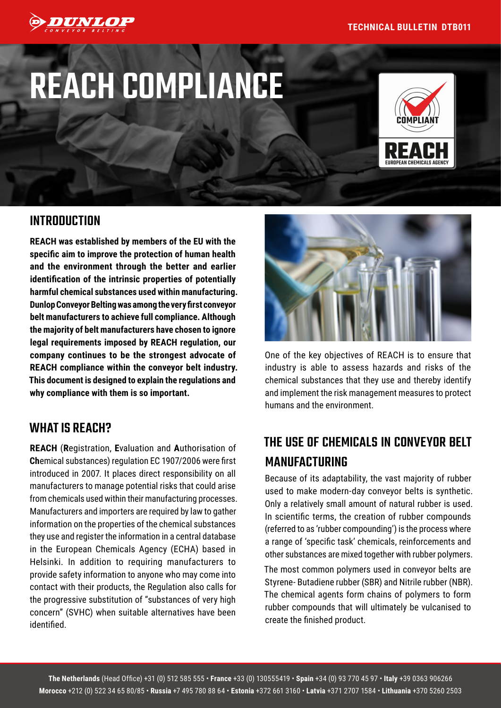

# REACH COMPLIANCE



### INTRODUCTION

**REACH was established by members of the EU with the specific aim to improve the protection of human health and the environment through the better and earlier identification of the intrinsic properties of potentially harmful chemical substances used within manufacturing. Dunlop Conveyor Belting was among the very first conveyor belt manufacturers to achieve full compliance. Although the majority of belt manufacturers have chosen to ignore legal requirements imposed by REACH regulation, our company continues to be the strongest advocate of REACH compliance within the conveyor belt industry. This document is designed to explain the regulations and why compliance with them is so important.**

#### WHAT IS REACH?

**REACH** (**R**egistration, **E**valuation and **A**uthorisation of **Ch**emical substances) regulation EC 1907/2006 were first introduced in 2007. It places direct responsibility on all manufacturers to manage potential risks that could arise from chemicals used within their manufacturing processes. Manufacturers and importers are required by law to gather information on the properties of the chemical substances they use and register the information in a central database in the European Chemicals Agency (ECHA) based in Helsinki. In addition to requiring manufacturers to provide safety information to anyone who may come into contact with their products, the Regulation also calls for the progressive substitution of "substances of very high concern" (SVHC) when suitable alternatives have been identified.



One of the key objectives of REACH is to ensure that industry is able to assess hazards and risks of the chemical substances that they use and thereby identify and implement the risk management measures to protect humans and the environment.

# THE USE OF CHEMICALS IN CONVEYOR BELT MANUFACTURING

Because of its adaptability, the vast majority of rubber used to make modern-day conveyor belts is synthetic. Only a relatively small amount of natural rubber is used. In scientific terms, the creation of rubber compounds (referred to as 'rubber compounding') is the process where a range of 'specific task' chemicals, reinforcements and other substances are mixed together with rubber polymers.

The most common polymers used in conveyor belts are Styrene- Butadiene rubber (SBR) and Nitrile rubber (NBR). The chemical agents form chains of polymers to form rubber compounds that will ultimately be vulcanised to create the finished product.